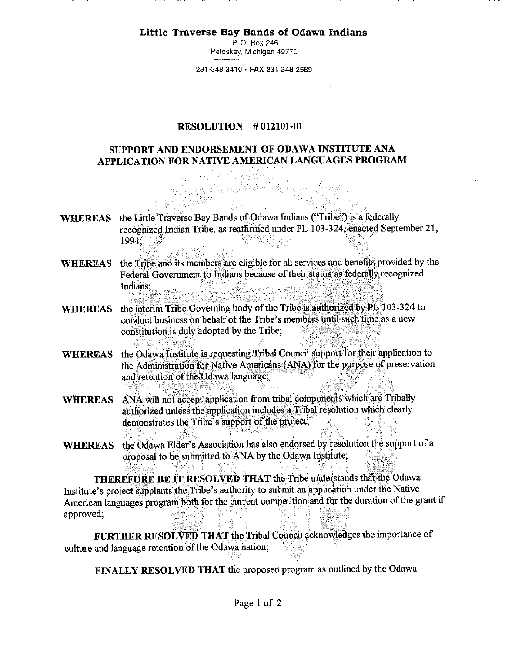**Little Traverse Bay Bands of Odawa Indians** 

P. 0. Box 246 Petoskey, Michigan 49770

**231-348-3410 • FAX 231-348-2589** 

## **RESOLUTION # 012101-01**

## **SUPPORT AND ENDORSEMENT OF ODAWA INSTITUTE ANA APPLICATION FOR NATIVE AMERICAN LANGUAGES PROGRAM**

**WHEREAS**  the Little Traverse Bay Bands of Odawa Indians ("Tribe") is a federally recognized Indian Tribe, as reaffirmed under PL 103-324, enacted September 21, 1994;

ARTI KATA

- **WHEREAS**  the Tribe and its members are eligible for all services and benefits provided by the Federal Government to Indians because of their status as federally recognized Indians;
- WHEREAS the interim Tribe Governing body of the Tribe is authorized by PL 103-324 to conduct business on behalf of the Tribe's members until such time as a new constitution is duly adopted by the Tribe;
- **WHEREAS** the Odawa Institute is requesting Tribal Council support for their application to the Administration for Native Americans (ANA) for the purpose of preservation and retention of the Odawa language;
- **WHEREAS** ANA will not accept application from tribal components which are Tribally authorized unless the application includes a Tribal resolution which clearly demonstrates the Tribe's support of the project;
- WHEREAS the Odawa Elder's Association has also endorsed by resolution the support of a proposal to be submitted to ANA by the Odawa Institute;

**THEREFORE BE IT RESOLVED THAT** the Tribe understands that the Odawa Institute's project supplants the Tribe's authority to submit an application under the Native American languages program both for the current competition and for the duration of the grant if approved;

FURTHER RESOLVED THAT the Tribal Council acknowledges the importance of culture and language retention of the Odawa nation;

**FINALLY RESOLVED THAT** the proposed program as outlined by the Odawa